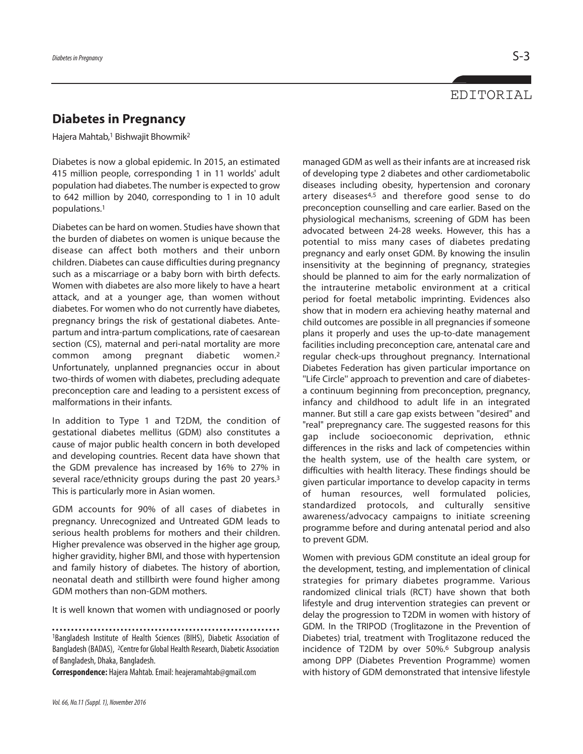## EDITORIAL

## **Diabetes in Pregnancy**

Hajera Mahtab, <sup>1</sup> Bishwajit Bhowmik2

Diabetes is now a global epidemic. In 2015, an estimated 415 million people, corresponding 1 in 11 worlds' adult population had diabetes. The number is expected to grow to 642 million by 2040, corresponding to 1 in 10 adult populations. 1

Diabetes can be hard on women. Studies have shown that the burden of diabetes on women is unique because the disease can affect both mothers and their unborn children. Diabetes can cause difficulties during pregnancy such as a miscarriage or a baby born with birth defects. Women with diabetes are also more likely to have a heart attack, and at a younger age, than women without diabetes. For women who do not currently have diabetes, pregnancy brings the risk of gestational diabetes. Antepartum and intra-partum complications, rate of caesarean section (CS), maternal and peri-natal mortality are more common among pregnant diabetic women. 2 Unfortunately, unplanned pregnancies occur in about two-thirds of women with diabetes, precluding adequate preconception care and leading to a persistent excess of malformations in their infants.

In addition to Type 1 and T2DM, the condition of gestational diabetes mellitus (GDM) also constitutes a cause of major public health concern in both developed and developing countries. Recent data have shown that the GDM prevalence has increased by 16% to 27% in several race/ethnicity groups during the past 20 years.<sup>3</sup> This is particularly more in Asian women.

GDM accounts for 90% of all cases of diabetes in pregnancy. Unrecognized and Untreated GDM leads to serious health problems for mothers and their children. Higher prevalence was observed in the higher age group, higher gravidity, higher BMI, and those with hypertension and family history of diabetes. The history of abortion, neonatal death and stillbirth were found higher among GDM mothers than non-GDM mothers.

It is well known that women with undiagnosed or poorly

**Correspondence:** Hajera Mahtab.Email: heajeramahtab@gmail.com

managed GDM as well as their infants are at increased risk of developing type 2 diabetes and other cardiometabolic diseases including obesity, hypertension and coronary artery diseases<sup>4,5</sup> and therefore good sense to do preconception counselling and care earlier. Based on the physiological mechanisms, screening of GDM has been advocated between 24-28 weeks. However, this has a potential to miss many cases of diabetes predating pregnancy and early onset GDM. By knowing the insulin insensitivity at the beginning of pregnancy, strategies should be planned to aim for the early normalization of the intrauterine metabolic environment at a critical period for foetal metabolic imprinting. Evidences also show that in modern era achieving heathy maternal and child outcomes are possible in all pregnancies if someone plans it properly and uses the up-to-date management facilities including preconception care, antenatal care and regular check-ups throughout pregnancy. International Diabetes Federation has given particular importance on ''Life Circle'' approach to prevention and care of diabetesa continuum beginning from preconception, pregnancy, infancy and childhood to adult life in an integrated manner. But still a care gap exists between "desired" and "real" prepregnancy care. The suggested reasons for this gap include socioeconomic deprivation, ethnic differences in the risks and lack of competencies within the health system, use of the health care system, or difficulties with health literacy. These findings should be given particular importance to develop capacity in terms of human resources, well formulated policies, standardized protocols, and culturally sensitive awareness/advocacy campaigns to initiate screening programme before and during antenatal period and also to prevent GDM.

Women with previous GDM constitute an ideal group for the development, testing, and implementation of clinical strategies for primary diabetes programme. Various randomized clinical trials (RCT) have shown that both lifestyle and drug intervention strategies can prevent or delay the progression to T2DM in women with history of GDM. In the TRIPOD (Troglitazone in the Prevention of Diabetes) trial, treatment with Troglitazone reduced the incidence of T2DM by over 50%. <sup>6</sup> Subgroup analysis among DPP (Diabetes Prevention Programme) women with history of GDM demonstrated that intensive lifestyle

<sup>1</sup>Bangladesh Institute of Health Sciences (BIHS), Diabetic Association of Bangladesh (BADAS), <sup>2</sup>Centre for Global Health Research, Diabetic Association of Bangladesh, Dhaka, Bangladesh.